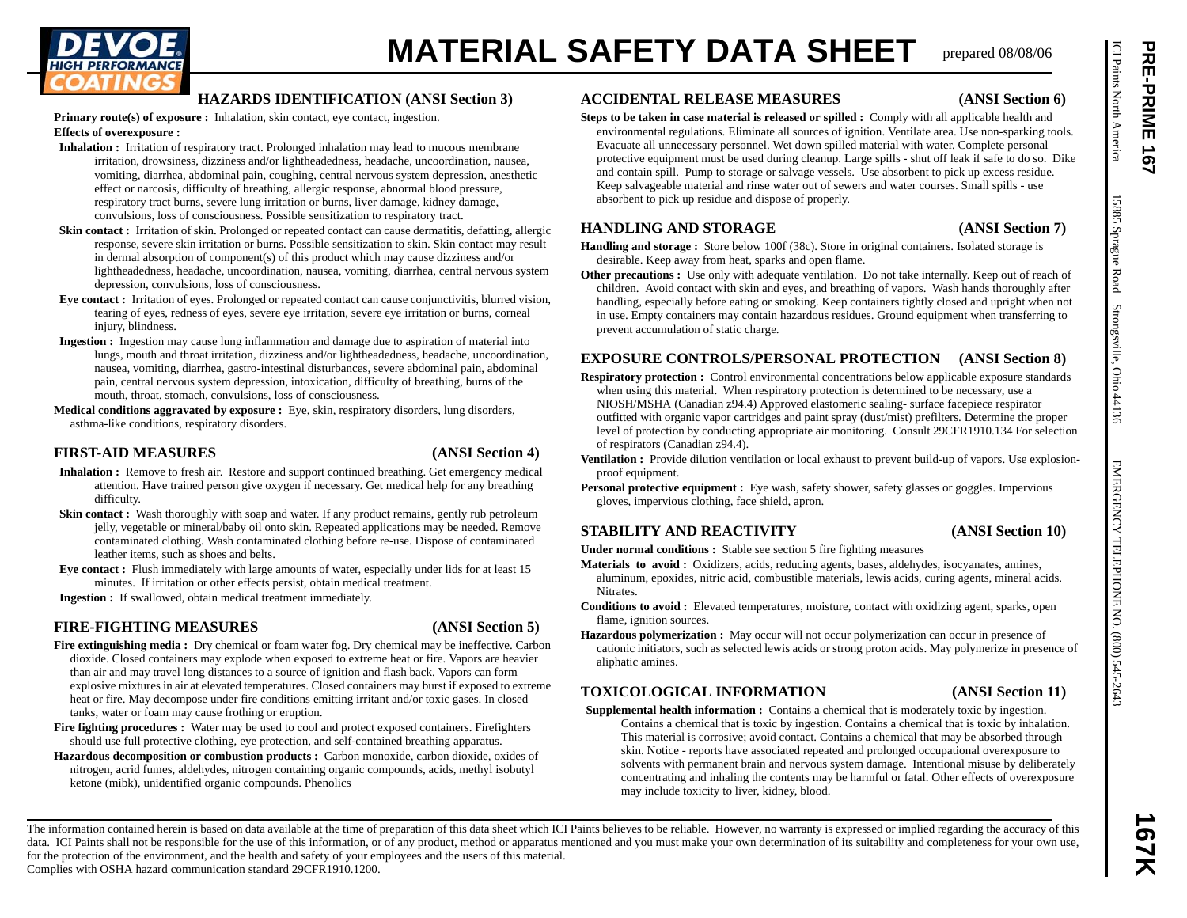

- 
- 
- 
- 
- 

- 
- 
- 

- tanks, water or foam may cause frothing or eruption.
- **Fire fighting procedures :** Water may be used to cool and protect exposed containers. Firefighters should use full protective clothing, eye protection, and self-contained breathing apparatus.
- **Hazardous decomposition or combustion products :** Carbon monoxide, carbon dioxide, oxides of nitrogen, acrid fumes, aldehydes, nitrogen containing organic compounds, acids, methyl isobutyl ketone (mibk), unidentified organic compounds. Phenolics

# **ACCIDENTAL RELEASE MEASURES (ANSI Section 6)**

# **PERIMERIAL SAFETY DATA SHEET TRIPADE SERVICION CONTROL CONTROL CONTROL CONTROL CONTROL CONTROL CONTROL CONTROL CONTROL CONTROL CONTROL CONTROL CONTROL CONTROL CONTROL CONTROL CONTROL CONTROL CONTROL CONTROL CONTROL CONTR Steps to be taken in case material is released or spilled :** Comply with all applicable health and environmental regulations. Eliminate all sources of ignition. Ventilate area. Use non-sparking tools. Evacuate all unnecessary personnel. Wet down spilled material with water. Complete personal protective equipment must be used during cleanup. Large spills - shut off leak if safe to do so. Dike and contain spill. Pump to storage or salvage vessels. Use absorbent to pick up excess residue. Keep salvageable material and rinse water out of sewers and water courses. Small spills - use absorbent to pick up residue and dispose of properly.

# **HANDLING AND STORAGE (ANSI Section 7)**

- **Handling and storage :** Store below 100f (38c). Store in original containers. Isolated storage is desirable. Keep away from heat, sparks and open flame.
- **Other precautions :** Use only with adequate ventilation. Do not take internally. Keep out of reach of children. Avoid contact with skin and eyes, and breathing of vapors. Wash hands thoroughly after handling, especially before eating or smoking. Keep containers tightly closed and upright when not in use. Empty containers may contain hazardous residues. Ground equipment when transferring to prevent accumulation of static charge.

# **EXPOSURE CONTROLS/PERSONAL PROTECTION (ANSI Section 8)**

- **Respiratory protection :** Control environmental concentrations below applicable exposure standards when using this material. When respiratory protection is determined to be necessary, use a NIOSH/MSHA (Canadian z94.4) Approved elastomeric sealing- surface facepiece respirator outfitted with organic vapor cartridges and paint spray (dust/mist) prefilters. Determine the proper level of protection by conducting appropriate air monitoring. Consult 29CFR1910.134 For selection of respirators (Canadian z94.4).
- **Ventilation :** Provide dilution ventilation or local exhaust to prevent build-up of vapors. Use explosionproof equipment.
- **Personal protective equipment :** Eye wash, safety shower, safety glasses or goggles. Impervious gloves, impervious clothing, face shield, apron.

# **STABILITY AND REACTIVITY (ANSI Section 10)**

**Under normal conditions :** Stable see section 5 fire fighting measures

- **Materials to avoid :** Oxidizers, acids, reducing agents, bases, aldehydes, isocyanates, amines, aluminum, epoxides, nitric acid, combustible materials, lewis acids, curing agents, mineral acids. Nitrates.
- **Conditions to avoid :** Elevated temperatures, moisture, contact with oxidizing agent, sparks, open flame, ignition sources.
- **Hazardous polymerization :** May occur will not occur polymerization can occur in presence of cationic initiators, such as selected lewis acids or strong proton acids. May polymerize in presence of aliphatic amines.

# **TOXICOLOGICAL INFORMATION (ANSI Section 11)**

**Supplemental health information :** Contains a chemical that is moderately toxic by ingestion. Contains a chemical that is toxic by ingestion. Contains a chemical that is toxic by inhalation. This material is corrosive; avoid contact. Contains a chemical that may be absorbed through skin. Notice - reports have associated repeated and prolonged occupational overexposure to solvents with permanent brain and nervous system damage. Intentional misuse by deliberately concentrating and inhaling the contents may be harmful or fatal. Other effects of overexposure may include toxicity to liver, kidney, blood.

The information contained herein is based on data available at the time of preparation of this data sheet which ICI Paints believes to be reliable. However, no warranty is expressed or implied regarding the accuracy of thi data. ICI Paints shall not be responsible for the use of this information, or of any product, method or apparatus mentioned and you must make your own determination of its suitability and completeness for your own use, for the protection of the environment, and the health and safety of your employees and the users of this material. **167K**

Complies with OSHA hazard communication standard 29CFR1910.1200.